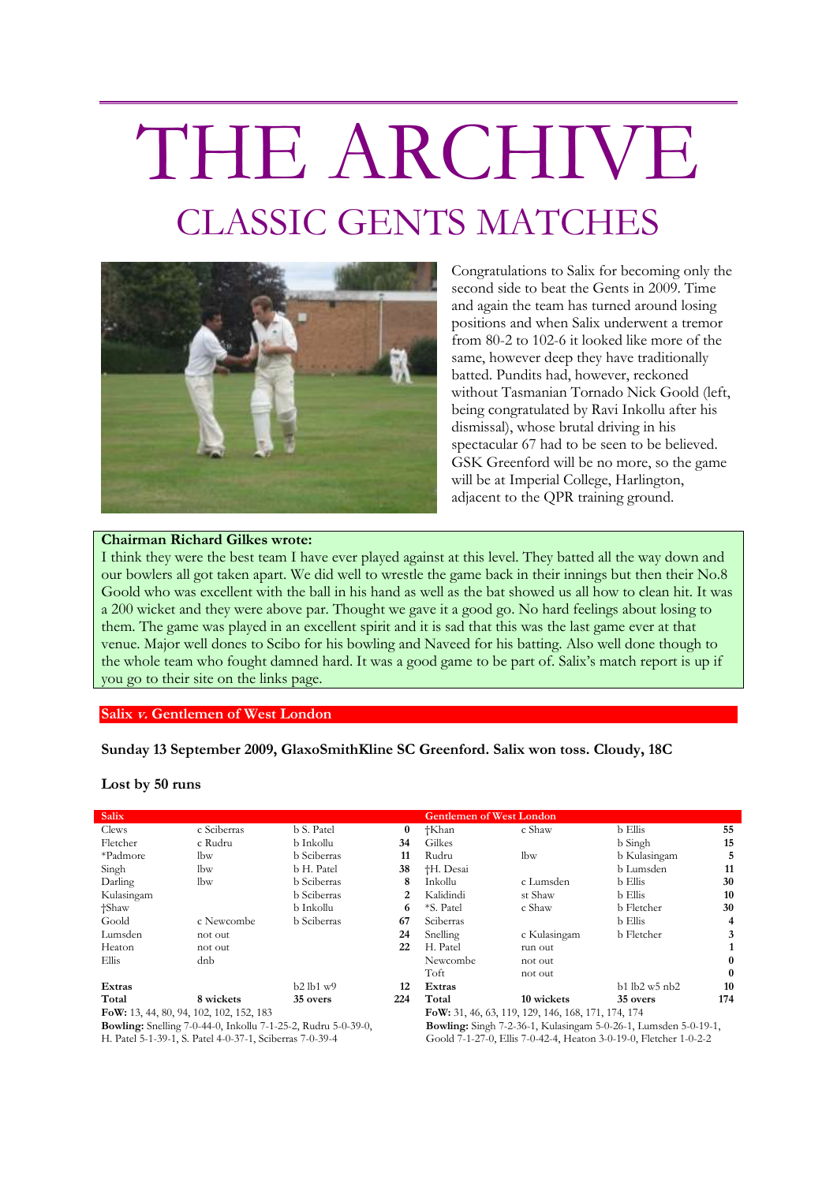## THE ARCHIVE CLASSIC GENTS MATCHES



Congratulations to Salix for becoming only the second side to beat the Gents in 2009. Time and again the team has turned around losing positions and when Salix underwent a tremor from 80-2 to 102-6 it looked like more of the same, however deep they have traditionally batted. Pundits had, however, reckoned without Tasmanian Tornado Nick Goold (left, being congratulated by Ravi Inkollu after his dismissal), whose brutal driving in his spectacular 67 had to be seen to be believed. GSK Greenford will be no more, so the game will be at Imperial College, Harlington, adjacent to the QPR training ground.

## **Chairman Richard Gilkes wrote:**

I think they were the best team I have ever played against at this level. They batted all the way down and our bowlers all got taken apart. We did well to wrestle the game back in their innings but then their No.8 Goold who was excellent with the ball in his hand as well as the bat showed us all how to clean hit. It was a 200 wicket and they were above par. Thought we gave it a good go. No hard feelings about losing to them. The game was played in an excellent spirit and it is sad that this was the last game ever at that venue. Major well dones to Scibo for his bowling and Naveed for his batting. Also well done though to the whole team who fought damned hard. It was a good game to be part of. Salix's match report is up if you go to their site on the links page.

## **Salix v. Gentlemen of West London**

**Sunday 13 September 2009, GlaxoSmithKline SC Greenford. Salix won toss. Cloudy, 18C**

**Lost by 50 runs**

| <b>Salix</b>                                                         |             |                    |          | <b>Gentlemen of West London</b>                                        |              |                   |              |
|----------------------------------------------------------------------|-------------|--------------------|----------|------------------------------------------------------------------------|--------------|-------------------|--------------|
| Clews                                                                | c Sciberras | b S. Patel         | $\bf{0}$ | †Khan                                                                  | c Shaw       | b Ellis           | 55           |
| Fletcher                                                             | c Rudru     | b Inkollu          | 34       | Gilkes                                                                 |              | b Singh           | 15           |
| *Padmore                                                             | lbw         | <b>b</b> Sciberras | 11       | Rudru                                                                  | lbw          | b Kulasingam      | 5            |
| Singh                                                                | lbw         | b H. Patel         | 38       | <sup>†</sup> H. Desai                                                  |              | b Lumsden         | 11           |
| Darling                                                              | lbw         | <b>b</b> Sciberras | 8        | Inkollu                                                                | c Lumsden    | <b>b</b> Ellis    | 30           |
| Kulasingam                                                           |             | <b>b</b> Sciberras | 2        | Kalidindi                                                              | st Shaw      | b Ellis           | 10           |
| †Shaw                                                                |             | b Inkollu          | 6        | *S. Patel                                                              | c Shaw       | b Fletcher        | 30           |
| Goold                                                                | c Newcombe  | <b>b</b> Sciberras | 67       | Sciberras                                                              |              | b Ellis           | 4            |
| Lumsden                                                              | not out     |                    | 24       | Snelling                                                               | c Kulasingam | <b>b</b> Fletcher | 3            |
| Heaton                                                               | not out     |                    | 22       | H. Patel                                                               | run out      |                   |              |
| Ellis                                                                | dnb         |                    |          | Newcombe                                                               | not out      |                   | 0            |
|                                                                      |             |                    |          | Toft                                                                   | not out      |                   | $\mathbf{0}$ |
| Extras                                                               |             | $b2$ lb1 $w9$      | 12       | Extras                                                                 |              | $b1$ lb2 w5 nb2   | 10           |
| Total                                                                | 8 wickets   | 35 overs           | 224      | Total                                                                  | 10 wickets   | 35 overs          | 174          |
| FoW: 13, 44, 80, 94, 102, 102, 152, 183                              |             |                    |          | FoW: 31, 46, 63, 119, 129, 146, 168, 171, 174, 174                     |              |                   |              |
| <b>Bowling:</b> Snelling 7-0-44-0, Inkollu 7-1-25-2, Rudru 5-0-39-0, |             |                    |          | <b>Bowling:</b> Singh 7-2-36-1, Kulasingam 5-0-26-1, Lumsden 5-0-19-1, |              |                   |              |

H. Patel 5-1-39-1, S. Patel 4-0-37-1, Sciberras 7-0-39-4

**Bowling:** Singh 7-2-36-1, Kulasingam 5-0-26-1, Lumsden 5-0-19-1, Goold 7-1-27-0, Ellis 7-0-42-4, Heaton 3-0-19-0, Fletcher 1-0-2-2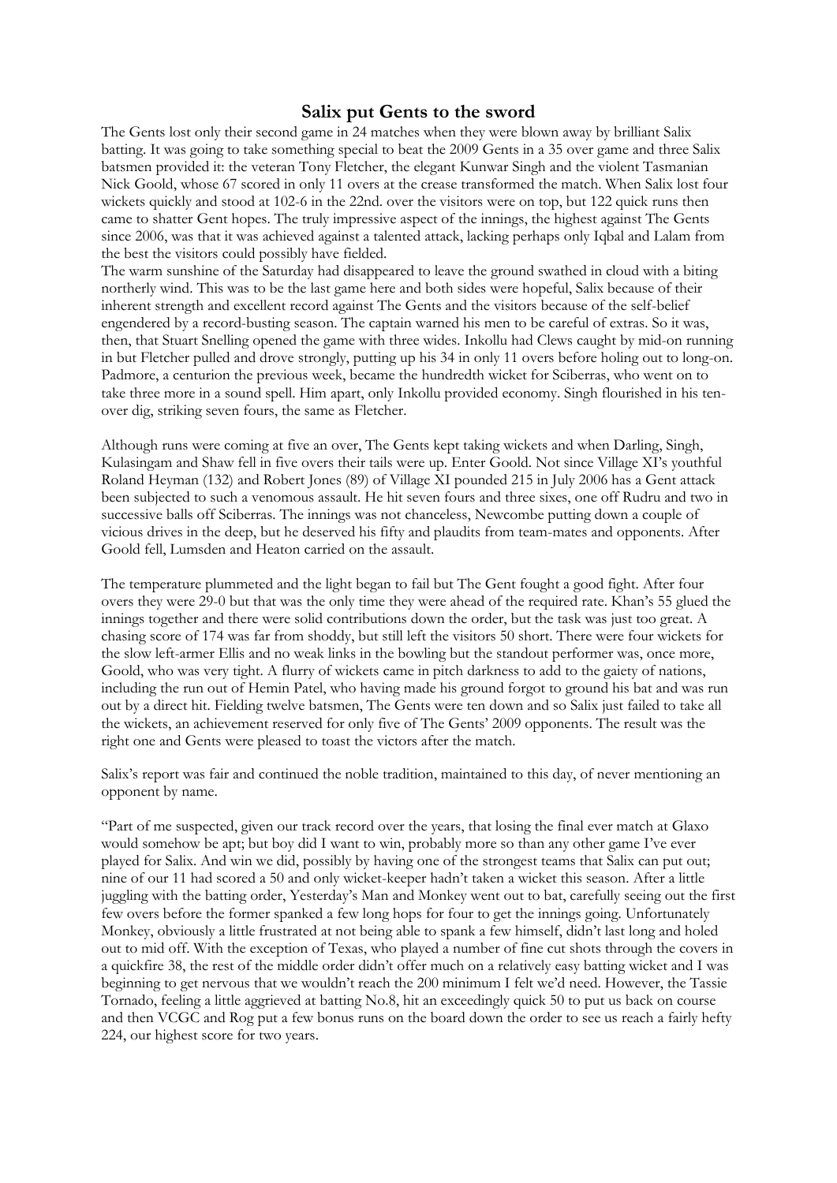## **Salix put Gents to the sword**

The Gents lost only their second game in 24 matches when they were blown away by brilliant Salix batting. It was going to take something special to beat the 2009 Gents in a 35 over game and three Salix batsmen provided it: the veteran Tony Fletcher, the elegant Kunwar Singh and the violent Tasmanian Nick Goold, whose 67 scored in only 11 overs at the crease transformed the match. When Salix lost four wickets quickly and stood at 102-6 in the 22nd. over the visitors were on top, but 122 quick runs then came to shatter Gent hopes. The truly impressive aspect of the innings, the highest against The Gents since 2006, was that it was achieved against a talented attack, lacking perhaps only Iqbal and Lalam from the best the visitors could possibly have fielded.

The warm sunshine of the Saturday had disappeared to leave the ground swathed in cloud with a biting northerly wind. This was to be the last game here and both sides were hopeful, Salix because of their inherent strength and excellent record against The Gents and the visitors because of the self-belief engendered by a record-busting season. The captain warned his men to be careful of extras. So it was, then, that Stuart Snelling opened the game with three wides. Inkollu had Clews caught by mid-on running in but Fletcher pulled and drove strongly, putting up his 34 in only 11 overs before holing out to long-on. Padmore, a centurion the previous week, became the hundredth wicket for Sciberras, who went on to take three more in a sound spell. Him apart, only Inkollu provided economy. Singh flourished in his tenover dig, striking seven fours, the same as Fletcher.

Although runs were coming at five an over, The Gents kept taking wickets and when Darling, Singh, Kulasingam and Shaw fell in five overs their tails were up. Enter Goold. Not since Village XI's youthful Roland Heyman (132) and Robert Jones (89) of Village XI pounded 215 in July 2006 has a Gent attack been subjected to such a venomous assault. He hit seven fours and three sixes, one off Rudru and two in successive balls off Sciberras. The innings was not chanceless, Newcombe putting down a couple of vicious drives in the deep, but he deserved his fifty and plaudits from team-mates and opponents. After Goold fell, Lumsden and Heaton carried on the assault.

The temperature plummeted and the light began to fail but The Gent fought a good fight. After four overs they were 29-0 but that was the only time they were ahead of the required rate. Khan's 55 glued the innings together and there were solid contributions down the order, but the task was just too great. A chasing score of 174 was far from shoddy, but still left the visitors 50 short. There were four wickets for the slow left-armer Ellis and no weak links in the bowling but the standout performer was, once more, Goold, who was very tight. A flurry of wickets came in pitch darkness to add to the gaiety of nations, including the run out of Hemin Patel, who having made his ground forgot to ground his bat and was run out by a direct hit. Fielding twelve batsmen, The Gents were ten down and so Salix just failed to take all the wickets, an achievement reserved for only five of The Gents' 2009 opponents. The result was the right one and Gents were pleased to toast the victors after the match.

Salix's report was fair and continued the noble tradition, maintained to this day, of never mentioning an opponent by name.

"Part of me suspected, given our track record over the years, that losing the final ever match at Glaxo would somehow be apt; but boy did I want to win, probably more so than any other game I've ever played for Salix. And win we did, possibly by having one of the strongest teams that Salix can put out; nine of our 11 had scored a 50 and only wicket-keeper hadn't taken a wicket this season. After a little juggling with the batting order, Yesterday's Man and Monkey went out to bat, carefully seeing out the first few overs before the former spanked a few long hops for four to get the innings going. Unfortunately Monkey, obviously a little frustrated at not being able to spank a few himself, didn't last long and holed out to mid off. With the exception of Texas, who played a number of fine cut shots through the covers in a quickfire 38, the rest of the middle order didn't offer much on a relatively easy batting wicket and I was beginning to get nervous that we wouldn't reach the 200 minimum I felt we'd need. However, the Tassie Tornado, feeling a little aggrieved at batting No.8, hit an exceedingly quick 50 to put us back on course and then VCGC and Rog put a few bonus runs on the board down the order to see us reach a fairly hefty 224, our highest score for two years.